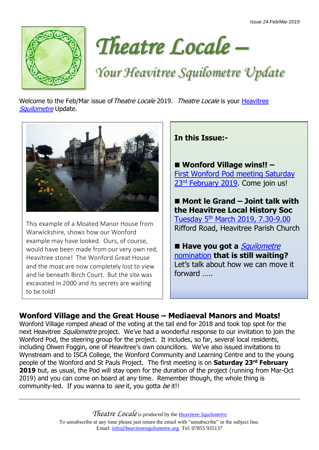



*Your Heavitree Squilometre Update*

Welcome to the Feb/Mar issue of Theatre Locale 2019. Theatre Locale is your Heavitree [Squilometre](http://www.heavitreesquilometre.org/) Update.



This example of a Moated Manor House from Warwickshire, shows how our Wonford example may have looked. Ours, of course, would have been made from our very own red, Heavitree stone! The Wonford Great House and the moat are now completely lost to view and lie beneath Birch Court. But the site was excavated in 2000 and its secrets are waiting to be told!

**In this Issue:-**

■ Wonford Village wins!! – [First Wonford Pod meeting Saturday](http://www.heavitreesquilometre.org/wonford-village-and-the-great-house.html)  23<sup>rd</sup> [February 2019.](http://www.heavitreesquilometre.org/wonford-village-and-the-great-house.html) Come join us!

■ Mont le Grand – Joint talk with **the Heavitree Local History Soc** Tuesday 5th [March 2019, 7.30-9.00](https://www.facebook.com/events/1989133651145649/) Rifford Road, Heavitree Parish Church

■ Have you got a *Squilometre* [nomination](http://www.heavitreesquilometre.org/where-next---you-choose.html) **that is still waiting?** Let's talk about how we can move it forward …..

## **Wonford Village and the Great House – Mediaeval Manors and Moats!**

Wonford Village romped ahead of the voting at the tail end for 2018 and took top spot for the next Heavitree *Squilometre* project. We've had a wonderful response to our invitation to join the Wonford Pod, the steering group for the project. It includes, so far, several local residents, including Olwen Foggin, one of Heavitree's own councillors. We've also issued invitations to Wynstream and to ISCA College, the Wonford Community and Learning Centre and to the young people of the Wonford and St Pauls Project. The first meeting is on **Saturday 23rd February 2019** but, as usual, the Pod will stay open for the duration of the project (running from Mar-Oct 2019) and you can come on board at any time. Remember though, the whole thing is community-led. If you wanna to see it, you gotta be it!!